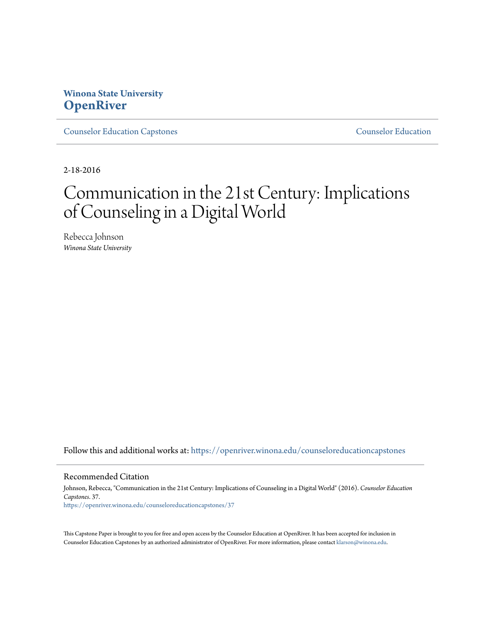# **Winona State University [OpenRiver](https://openriver.winona.edu?utm_source=openriver.winona.edu%2Fcounseloreducationcapstones%2F37&utm_medium=PDF&utm_campaign=PDFCoverPages)**

[Counselor Education Capstones](https://openriver.winona.edu/counseloreducationcapstones?utm_source=openriver.winona.edu%2Fcounseloreducationcapstones%2F37&utm_medium=PDF&utm_campaign=PDFCoverPages) [Counselor Education](https://openriver.winona.edu/counseloreducation?utm_source=openriver.winona.edu%2Fcounseloreducationcapstones%2F37&utm_medium=PDF&utm_campaign=PDFCoverPages)

2-18-2016

# Communication in the 21st Century: Implications of Counseling in a Digital World

Rebecca Johnson *Winona State University*

Follow this and additional works at: [https://openriver.winona.edu/counseloreducationcapstones](https://openriver.winona.edu/counseloreducationcapstones?utm_source=openriver.winona.edu%2Fcounseloreducationcapstones%2F37&utm_medium=PDF&utm_campaign=PDFCoverPages)

#### Recommended Citation

Johnson, Rebecca, "Communication in the 21st Century: Implications of Counseling in a Digital World" (2016). *Counselor Education Capstones*. 37. [https://openriver.winona.edu/counseloreducationcapstones/37](https://openriver.winona.edu/counseloreducationcapstones/37?utm_source=openriver.winona.edu%2Fcounseloreducationcapstones%2F37&utm_medium=PDF&utm_campaign=PDFCoverPages)

This Capstone Paper is brought to you for free and open access by the Counselor Education at OpenRiver. It has been accepted for inclusion in Counselor Education Capstones by an authorized administrator of OpenRiver. For more information, please contact [klarson@winona.edu](mailto:klarson@winona.edu).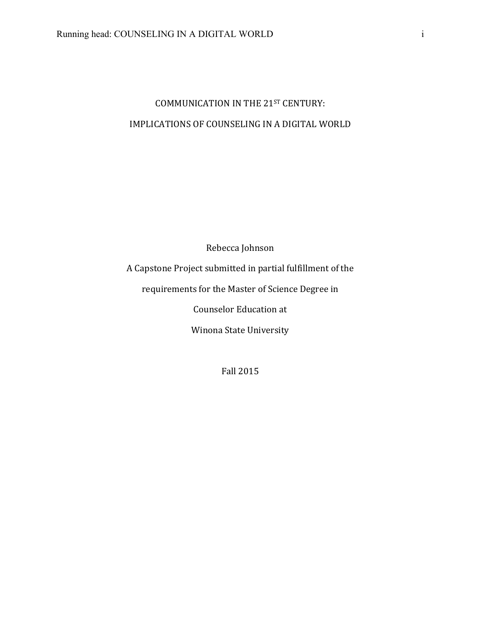# COMMUNICATION IN THE 21ST CENTURY: IMPLICATIONS OF COUNSELING IN A DIGITAL WORLD

Rebecca Johnson

A Capstone Project submitted in partial fulfillment of the

requirements for the Master of Science Degree in

Counselor Education at

Winona State University

Fall 2015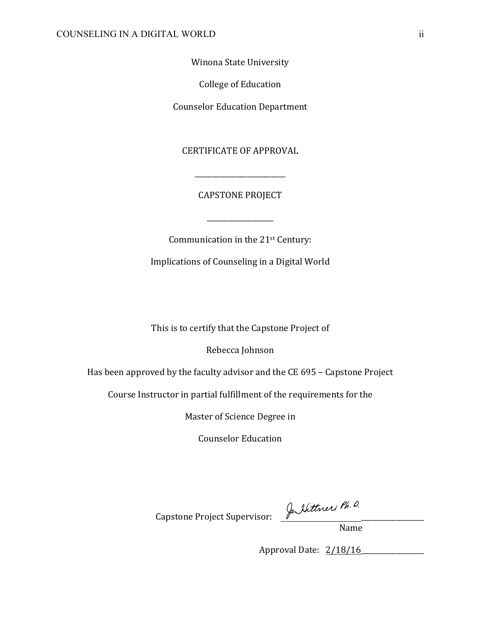Winona State University

College of Education

**Counselor Education Department** 

**CERTIFICATE OF APPROVAL** 

CAPSTONE PROJECT

\_\_\_\_\_\_\_\_\_\_\_\_\_\_\_\_\_\_\_

\_\_\_\_\_\_\_\_\_\_\_\_\_\_\_\_\_\_\_\_\_\_\_\_\_\_

Communication in the  $21$ <sup>st</sup> Century:

Implications of Counseling in a Digital World

This is to certify that the Capstone Project of

Rebecca Johnson

Has been approved by the faculty advisor and the CE 695 – Capstone Project

Course Instructor in partial fulfillment of the requirements for the

Master of Science Degree in

Counselor Education

Capstone Project Supervisor: Jo Itther Ph. D.

Name 

Approval Date: 2/18/16\_\_\_\_\_\_\_\_\_\_\_\_\_\_\_\_\_\_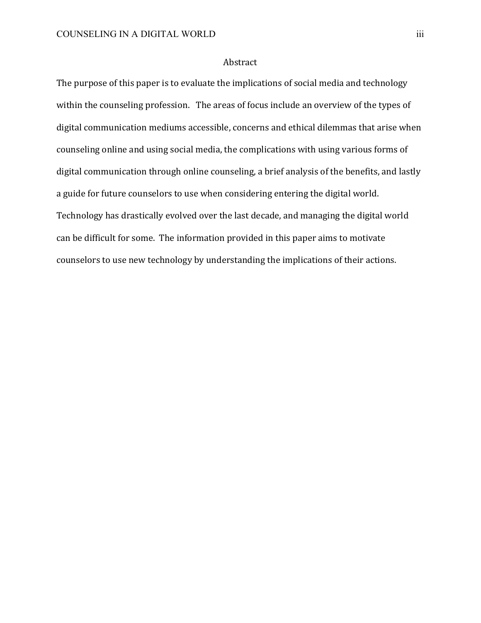## Abstract

The purpose of this paper is to evaluate the implications of social media and technology within the counseling profession. The areas of focus include an overview of the types of digital communication mediums accessible, concerns and ethical dilemmas that arise when counseling online and using social media, the complications with using various forms of digital communication through online counseling, a brief analysis of the benefits, and lastly a guide for future counselors to use when considering entering the digital world. Technology has drastically evolved over the last decade, and managing the digital world can be difficult for some. The information provided in this paper aims to motivate counselors to use new technology by understanding the implications of their actions.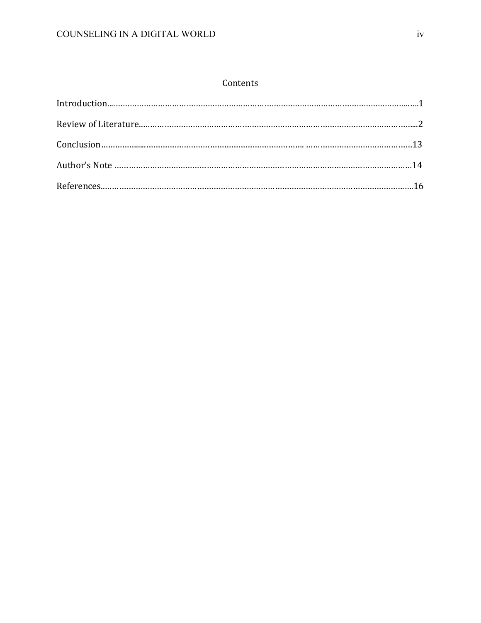# Contents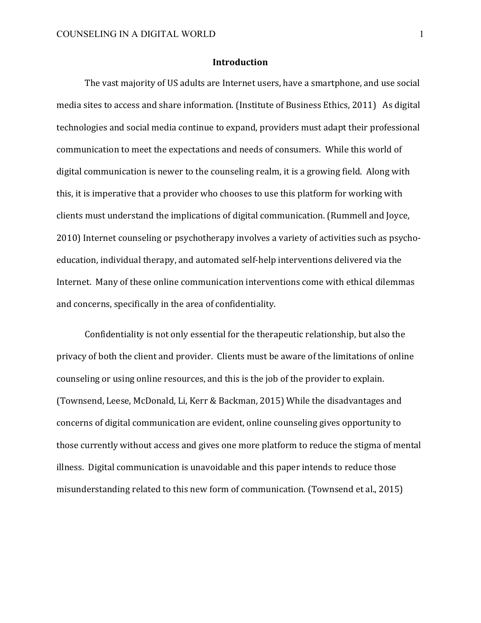#### **Introduction**

The vast majority of US adults are Internet users, have a smartphone, and use social media sites to access and share information. (Institute of Business Ethics, 2011) As digital technologies and social media continue to expand, providers must adapt their professional communication to meet the expectations and needs of consumers. While this world of digital communication is newer to the counseling realm, it is a growing field. Along with this, it is imperative that a provider who chooses to use this platform for working with clients must understand the implications of digital communication. (Rummell and Joyce, 2010) Internet counseling or psychotherapy involves a variety of activities such as psychoeducation, individual therapy, and automated self-help interventions delivered via the Internet. Many of these online communication interventions come with ethical dilemmas and concerns, specifically in the area of confidentiality.

Confidentiality is not only essential for the therapeutic relationship, but also the privacy of both the client and provider. Clients must be aware of the limitations of online counseling or using online resources, and this is the job of the provider to explain. (Townsend, Leese, McDonald, Li, Kerr & Backman, 2015) While the disadvantages and concerns of digital communication are evident, online counseling gives opportunity to those currently without access and gives one more platform to reduce the stigma of mental illness. Digital communication is unavoidable and this paper intends to reduce those misunderstanding related to this new form of communication. (Townsend et al., 2015)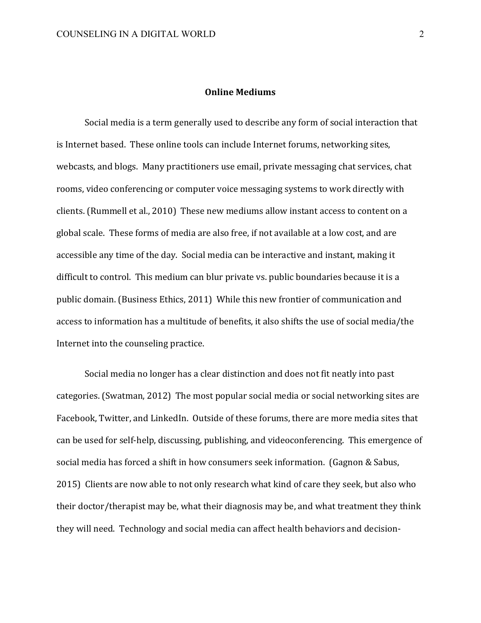#### **Online Mediums**

Social media is a term generally used to describe any form of social interaction that is Internet based. These online tools can include Internet forums, networking sites, webcasts, and blogs. Many practitioners use email, private messaging chat services, chat rooms, video conferencing or computer voice messaging systems to work directly with clients. (Rummell et al., 2010) These new mediums allow instant access to content on a global scale. These forms of media are also free, if not available at a low cost, and are accessible any time of the day. Social media can be interactive and instant, making it difficult to control. This medium can blur private vs. public boundaries because it is a public domain. (Business Ethics, 2011) While this new frontier of communication and access to information has a multitude of benefits, it also shifts the use of social media/the Internet into the counseling practice.

Social media no longer has a clear distinction and does not fit neatly into past categories. (Swatman, 2012) The most popular social media or social networking sites are Facebook, Twitter, and LinkedIn. Outside of these forums, there are more media sites that can be used for self-help, discussing, publishing, and videoconferencing. This emergence of social media has forced a shift in how consumers seek information. (Gagnon & Sabus, 2015) Clients are now able to not only research what kind of care they seek, but also who their doctor/therapist may be, what their diagnosis may be, and what treatment they think they will need. Technology and social media can affect health behaviors and decision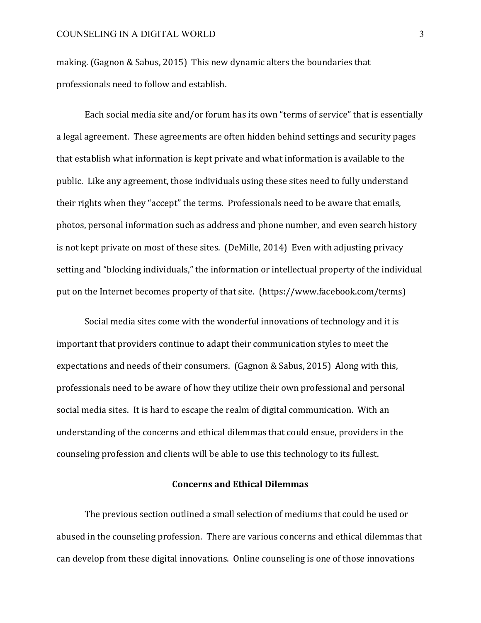making. (Gagnon & Sabus, 2015) This new dynamic alters the boundaries that professionals need to follow and establish.

Each social media site and/or forum has its own "terms of service" that is essentially a legal agreement. These agreements are often hidden behind settings and security pages that establish what information is kept private and what information is available to the public. Like any agreement, those individuals using these sites need to fully understand their rights when they "accept" the terms. Professionals need to be aware that emails, photos, personal information such as address and phone number, and even search history is not kept private on most of these sites. (DeMille, 2014) Even with adjusting privacy setting and "blocking individuals," the information or intellectual property of the individual put on the Internet becomes property of that site. (https://www.facebook.com/terms)

Social media sites come with the wonderful innovations of technology and it is important that providers continue to adapt their communication styles to meet the expectations and needs of their consumers. (Gagnon & Sabus, 2015) Along with this, professionals need to be aware of how they utilize their own professional and personal social media sites. It is hard to escape the realm of digital communication. With an understanding of the concerns and ethical dilemmas that could ensue, providers in the counseling profession and clients will be able to use this technology to its fullest.

#### **Concerns and Ethical Dilemmas**

The previous section outlined a small selection of mediums that could be used or abused in the counseling profession. There are various concerns and ethical dilemmas that can develop from these digital innovations. Online counseling is one of those innovations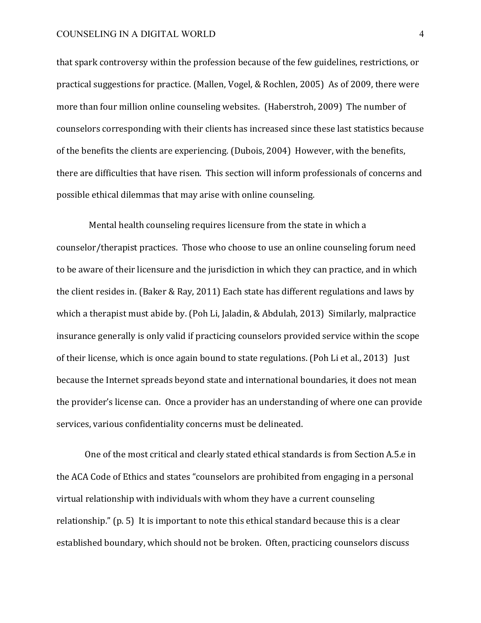that spark controversy within the profession because of the few guidelines, restrictions, or practical suggestions for practice. (Mallen, Vogel, & Rochlen, 2005) As of 2009, there were more than four million online counseling websites. (Haberstroh, 2009) The number of counselors corresponding with their clients has increased since these last statistics because of the benefits the clients are experiencing. (Dubois, 2004) However, with the benefits, there are difficulties that have risen. This section will inform professionals of concerns and possible ethical dilemmas that may arise with online counseling.

Mental health counseling requires licensure from the state in which a counselor/therapist practices. Those who choose to use an online counseling forum need to be aware of their licensure and the jurisdiction in which they can practice, and in which the client resides in. (Baker & Ray, 2011) Each state has different regulations and laws by which a therapist must abide by. (Poh Li, Jaladin, & Abdulah, 2013) Similarly, malpractice insurance generally is only valid if practicing counselors provided service within the scope of their license, which is once again bound to state regulations. (Poh Li et al., 2013) Just because the Internet spreads beyond state and international boundaries, it does not mean the provider's license can. Once a provider has an understanding of where one can provide services, various confidentiality concerns must be delineated.

One of the most critical and clearly stated ethical standards is from Section A.5.e in the ACA Code of Ethics and states "counselors are prohibited from engaging in a personal virtual relationship with individuals with whom they have a current counseling relationship."  $(p. 5)$  It is important to note this ethical standard because this is a clear established boundary, which should not be broken. Often, practicing counselors discuss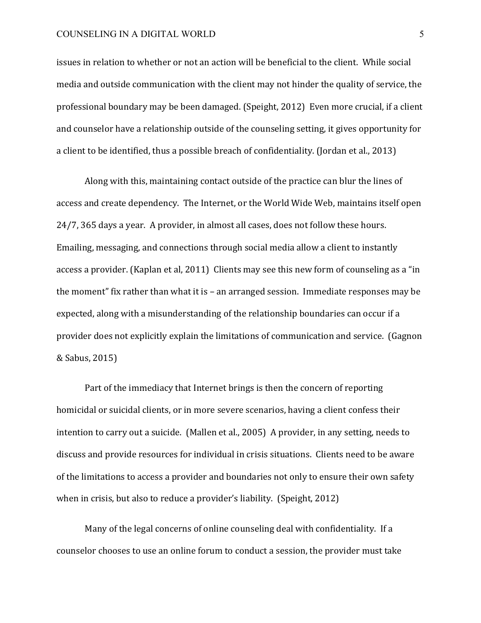issues in relation to whether or not an action will be beneficial to the client. While social media and outside communication with the client may not hinder the quality of service, the professional boundary may be been damaged. (Speight, 2012) Even more crucial, if a client and counselor have a relationship outside of the counseling setting, it gives opportunity for a client to be identified, thus a possible breach of confidentiality. (Jordan et al., 2013)

Along with this, maintaining contact outside of the practice can blur the lines of access and create dependency. The Internet, or the World Wide Web, maintains itself open 24/7, 365 days a year. A provider, in almost all cases, does not follow these hours. Emailing, messaging, and connections through social media allow a client to instantly access a provider. (Kaplan et al, 2011) Clients may see this new form of counseling as a "in the moment" fix rather than what it is  $-$  an arranged session. Immediate responses may be expected, along with a misunderstanding of the relationship boundaries can occur if a provider does not explicitly explain the limitations of communication and service. (Gagnon & Sabus, 2015)

Part of the immediacy that Internet brings is then the concern of reporting homicidal or suicidal clients, or in more severe scenarios, having a client confess their intention to carry out a suicide. (Mallen et al., 2005) A provider, in any setting, needs to discuss and provide resources for individual in crisis situations. Clients need to be aware of the limitations to access a provider and boundaries not only to ensure their own safety when in crisis, but also to reduce a provider's liability. (Speight, 2012)

Many of the legal concerns of online counseling deal with confidentiality. If a counselor chooses to use an online forum to conduct a session, the provider must take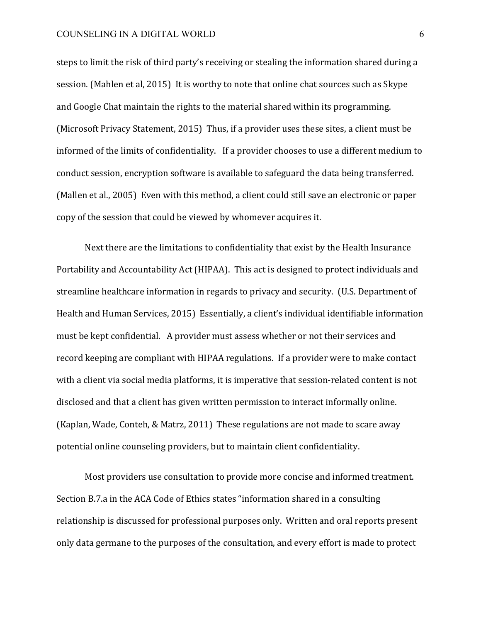steps to limit the risk of third party's receiving or stealing the information shared during a session. (Mahlen et al, 2015) It is worthy to note that online chat sources such as Skype and Google Chat maintain the rights to the material shared within its programming. (Microsoft Privacy Statement, 2015) Thus, if a provider uses these sites, a client must be informed of the limits of confidentiality. If a provider chooses to use a different medium to conduct session, encryption software is available to safeguard the data being transferred. (Mallen et al., 2005) Even with this method, a client could still save an electronic or paper copy of the session that could be viewed by whomever acquires it.

Next there are the limitations to confidentiality that exist by the Health Insurance Portability and Accountability Act (HIPAA). This act is designed to protect individuals and streamline healthcare information in regards to privacy and security. (U.S. Department of Health and Human Services, 2015) Essentially, a client's individual identifiable information must be kept confidential. A provider must assess whether or not their services and record keeping are compliant with HIPAA regulations. If a provider were to make contact with a client via social media platforms, it is imperative that session-related content is not disclosed and that a client has given written permission to interact informally online. (Kaplan, Wade, Conteh, & Matrz, 2011) These regulations are not made to scare away potential online counseling providers, but to maintain client confidentiality.

Most providers use consultation to provide more concise and informed treatment. Section B.7.a in the ACA Code of Ethics states "information shared in a consulting relationship is discussed for professional purposes only. Written and oral reports present only data germane to the purposes of the consultation, and every effort is made to protect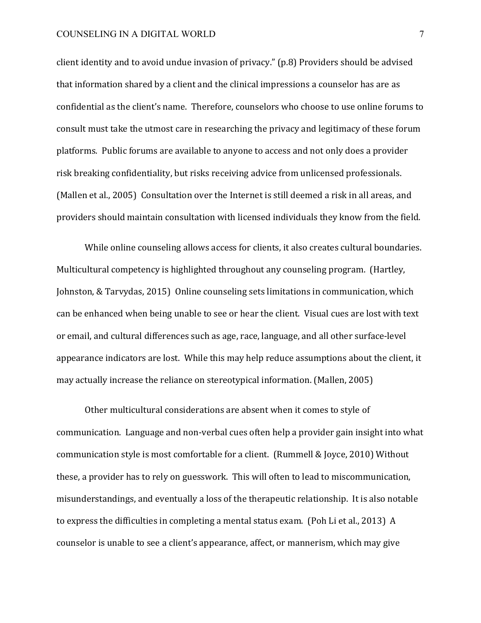client identity and to avoid undue invasion of privacy." (p.8) Providers should be advised that information shared by a client and the clinical impressions a counselor has are as confidential as the client's name. Therefore, counselors who choose to use online forums to consult must take the utmost care in researching the privacy and legitimacy of these forum platforms. Public forums are available to anyone to access and not only does a provider risk breaking confidentiality, but risks receiving advice from unlicensed professionals. (Mallen et al., 2005) Consultation over the Internet is still deemed a risk in all areas, and providers should maintain consultation with licensed individuals they know from the field.

While online counseling allows access for clients, it also creates cultural boundaries. Multicultural competency is highlighted throughout any counseling program. (Hartley, Johnston, & Tarvydas, 2015) Online counseling sets limitations in communication, which can be enhanced when being unable to see or hear the client. Visual cues are lost with text or email, and cultural differences such as age, race, language, and all other surface-level appearance indicators are lost. While this may help reduce assumptions about the client, it may actually increase the reliance on stereotypical information. (Mallen, 2005)

Other multicultural considerations are absent when it comes to style of communication. Language and non-verbal cues often help a provider gain insight into what communication style is most comfortable for a client. (Rummell & Joyce, 2010) Without these, a provider has to rely on guesswork. This will often to lead to miscommunication, misunderstandings, and eventually a loss of the therapeutic relationship. It is also notable to express the difficulties in completing a mental status exam. (Poh Li et al., 2013) A counselor is unable to see a client's appearance, affect, or mannerism, which may give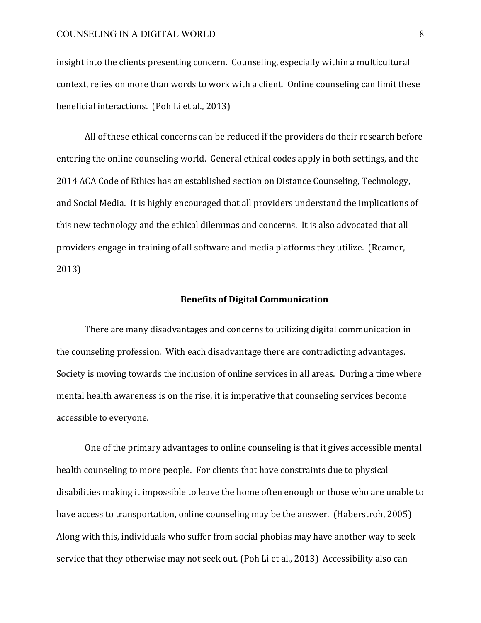insight into the clients presenting concern. Counseling, especially within a multicultural context, relies on more than words to work with a client. Online counseling can limit these beneficial interactions. (Poh Li et al., 2013)

All of these ethical concerns can be reduced if the providers do their research before entering the online counseling world. General ethical codes apply in both settings, and the 2014 ACA Code of Ethics has an established section on Distance Counseling, Technology, and Social Media. It is highly encouraged that all providers understand the implications of this new technology and the ethical dilemmas and concerns. It is also advocated that all providers engage in training of all software and media platforms they utilize. (Reamer, 2013)

#### **Benefits of Digital Communication**

There are many disadvantages and concerns to utilizing digital communication in the counseling profession. With each disadvantage there are contradicting advantages. Society is moving towards the inclusion of online services in all areas. During a time where mental health awareness is on the rise, it is imperative that counseling services become accessible to everyone.

One of the primary advantages to online counseling is that it gives accessible mental health counseling to more people. For clients that have constraints due to physical disabilities making it impossible to leave the home often enough or those who are unable to have access to transportation, online counseling may be the answer. (Haberstroh, 2005) Along with this, individuals who suffer from social phobias may have another way to seek service that they otherwise may not seek out. (Poh Li et al., 2013) Accessibility also can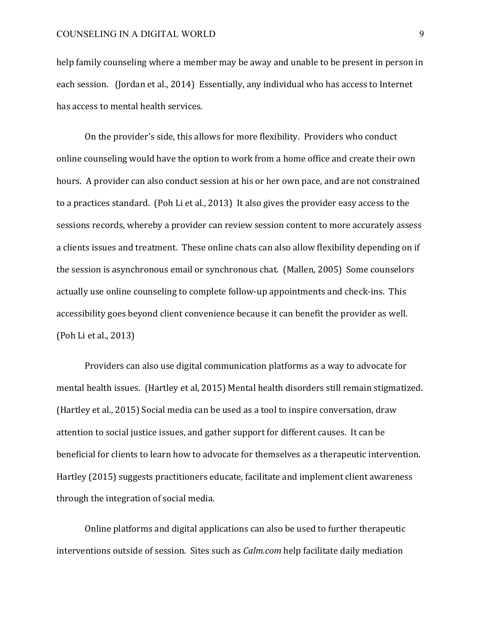help family counseling where a member may be away and unable to be present in person in each session. (Jordan et al., 2014) Essentially, any individual who has access to Internet has access to mental health services.

On the provider's side, this allows for more flexibility. Providers who conduct online counseling would have the option to work from a home office and create their own hours. A provider can also conduct session at his or her own pace, and are not constrained to a practices standard. (Poh Li et al., 2013) It also gives the provider easy access to the sessions records, whereby a provider can review session content to more accurately assess a clients issues and treatment. These online chats can also allow flexibility depending on if the session is asynchronous email or synchronous chat. (Mallen, 2005) Some counselors actually use online counseling to complete follow-up appointments and check-ins. This accessibility goes beyond client convenience because it can benefit the provider as well. (Poh Li et al., 2013)

Providers can also use digital communication platforms as a way to advocate for mental health issues. (Hartley et al, 2015) Mental health disorders still remain stigmatized. (Hartley et al., 2015) Social media can be used as a tool to inspire conversation, draw attention to social justice issues, and gather support for different causes. It can be beneficial for clients to learn how to advocate for themselves as a therapeutic intervention. Hartley (2015) suggests practitioners educate, facilitate and implement client awareness through the integration of social media.

Online platforms and digital applications can also be used to further therapeutic interventions outside of session. Sites such as *Calm.com* help facilitate daily mediation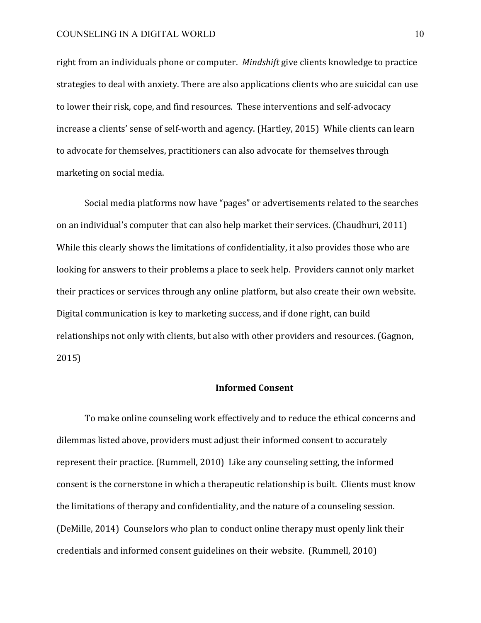right from an individuals phone or computer. *Mindshift* give clients knowledge to practice strategies to deal with anxiety. There are also applications clients who are suicidal can use to lower their risk, cope, and find resources. These interventions and self-advocacy increase a clients' sense of self-worth and agency. (Hartley, 2015) While clients can learn to advocate for themselves, practitioners can also advocate for themselves through marketing on social media.

Social media platforms now have "pages" or advertisements related to the searches on an individual's computer that can also help market their services. (Chaudhuri, 2011) While this clearly shows the limitations of confidentiality, it also provides those who are looking for answers to their problems a place to seek help. Providers cannot only market their practices or services through any online platform, but also create their own website. Digital communication is key to marketing success, and if done right, can build relationships not only with clients, but also with other providers and resources. (Gagnon, 2015)

#### **Informed Consent**

To make online counseling work effectively and to reduce the ethical concerns and dilemmas listed above, providers must adjust their informed consent to accurately represent their practice. (Rummell, 2010) Like any counseling setting, the informed consent is the cornerstone in which a therapeutic relationship is built. Clients must know the limitations of therapy and confidentiality, and the nature of a counseling session. (DeMille, 2014) Counselors who plan to conduct online therapy must openly link their credentials and informed consent guidelines on their website. (Rummell, 2010)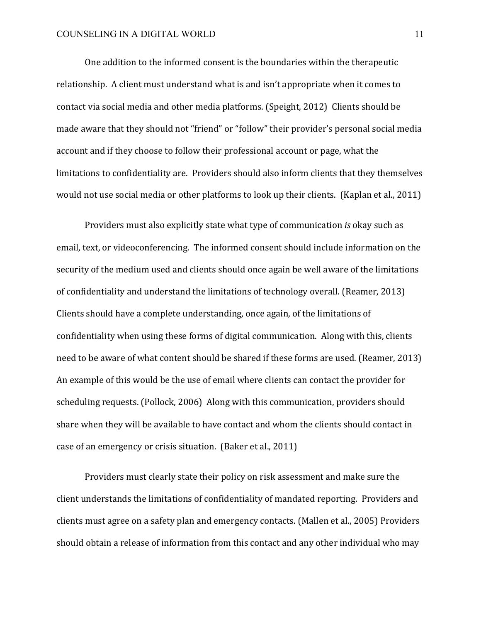One addition to the informed consent is the boundaries within the therapeutic relationship. A client must understand what is and isn't appropriate when it comes to contact via social media and other media platforms. (Speight, 2012) Clients should be made aware that they should not "friend" or "follow" their provider's personal social media account and if they choose to follow their professional account or page, what the limitations to confidentiality are. Providers should also inform clients that they themselves would not use social media or other platforms to look up their clients. (Kaplan et al., 2011)

Providers must also explicitly state what type of communication *is* okay such as email, text, or videoconferencing. The informed consent should include information on the security of the medium used and clients should once again be well aware of the limitations of confidentiality and understand the limitations of technology overall. (Reamer, 2013) Clients should have a complete understanding, once again, of the limitations of confidentiality when using these forms of digital communication. Along with this, clients need to be aware of what content should be shared if these forms are used. (Reamer, 2013) An example of this would be the use of email where clients can contact the provider for scheduling requests. (Pollock, 2006) Along with this communication, providers should share when they will be available to have contact and whom the clients should contact in case of an emergency or crisis situation. (Baker et al., 2011)

Providers must clearly state their policy on risk assessment and make sure the client understands the limitations of confidentiality of mandated reporting. Providers and clients must agree on a safety plan and emergency contacts. (Mallen et al., 2005) Providers should obtain a release of information from this contact and any other individual who may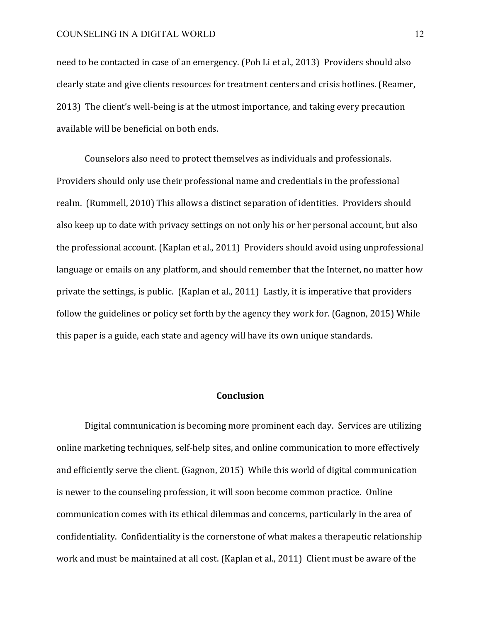need to be contacted in case of an emergency. (Poh Li et al., 2013) Providers should also clearly state and give clients resources for treatment centers and crisis hotlines. (Reamer, 2013) The client's well-being is at the utmost importance, and taking every precaution available will be beneficial on both ends.

Counselors also need to protect themselves as individuals and professionals. Providers should only use their professional name and credentials in the professional realm. (Rummell, 2010) This allows a distinct separation of identities. Providers should also keep up to date with privacy settings on not only his or her personal account, but also the professional account. (Kaplan et al., 2011) Providers should avoid using unprofessional language or emails on any platform, and should remember that the Internet, no matter how private the settings, is public. (Kaplan et al., 2011) Lastly, it is imperative that providers follow the guidelines or policy set forth by the agency they work for. (Gagnon, 2015) While this paper is a guide, each state and agency will have its own unique standards.

#### **Conclusion**

Digital communication is becoming more prominent each day. Services are utilizing online marketing techniques, self-help sites, and online communication to more effectively and efficiently serve the client. (Gagnon, 2015) While this world of digital communication is newer to the counseling profession, it will soon become common practice. Online communication comes with its ethical dilemmas and concerns, particularly in the area of confidentiality. Confidentiality is the cornerstone of what makes a therapeutic relationship work and must be maintained at all cost. (Kaplan et al., 2011) Client must be aware of the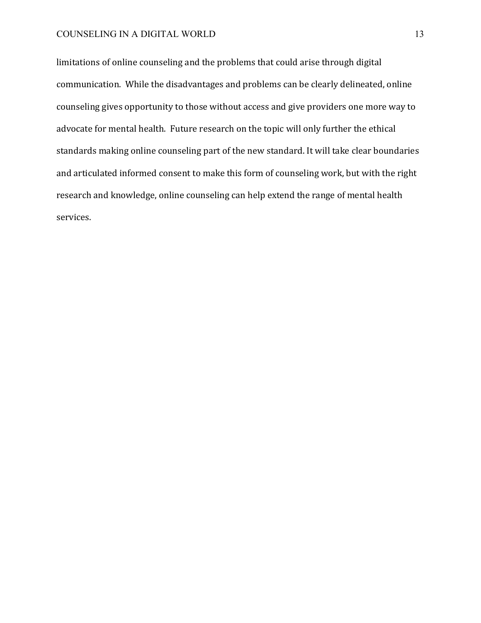limitations of online counseling and the problems that could arise through digital communication. While the disadvantages and problems can be clearly delineated, online counseling gives opportunity to those without access and give providers one more way to advocate for mental health. Future research on the topic will only further the ethical standards making online counseling part of the new standard. It will take clear boundaries and articulated informed consent to make this form of counseling work, but with the right research and knowledge, online counseling can help extend the range of mental health services.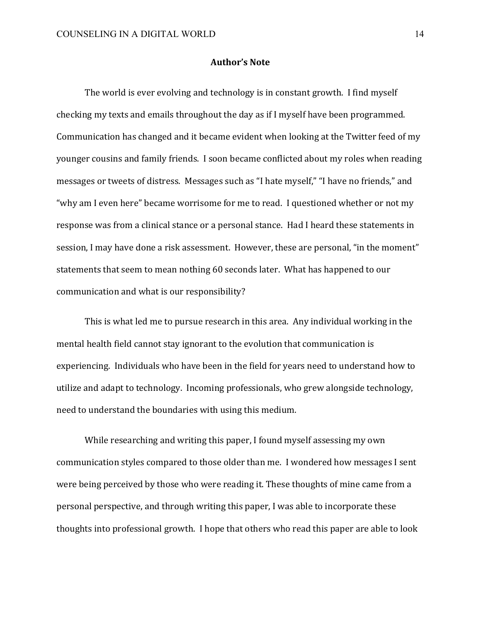## **Author's Note**

The world is ever evolving and technology is in constant growth. I find myself checking my texts and emails throughout the day as if I myself have been programmed. Communication has changed and it became evident when looking at the Twitter feed of my younger cousins and family friends. I soon became conflicted about my roles when reading messages or tweets of distress. Messages such as "I hate myself," "I have no friends," and "why am I even here" became worrisome for me to read. I questioned whether or not my response was from a clinical stance or a personal stance. Had I heard these statements in session, I may have done a risk assessment. However, these are personal, "in the moment" statements that seem to mean nothing 60 seconds later. What has happened to our communication and what is our responsibility?

This is what led me to pursue research in this area. Any individual working in the mental health field cannot stay ignorant to the evolution that communication is experiencing. Individuals who have been in the field for years need to understand how to utilize and adapt to technology. Incoming professionals, who grew alongside technology, need to understand the boundaries with using this medium.

While researching and writing this paper, I found myself assessing my own communication styles compared to those older than me. I wondered how messages I sent were being perceived by those who were reading it. These thoughts of mine came from a personal perspective, and through writing this paper, I was able to incorporate these thoughts into professional growth. I hope that others who read this paper are able to look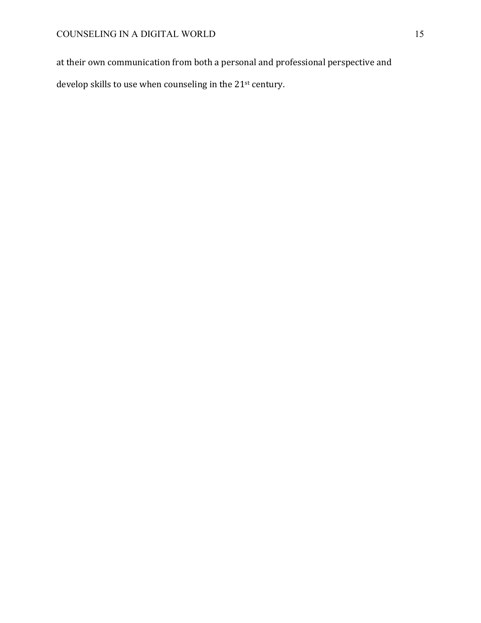at their own communication from both a personal and professional perspective and develop skills to use when counseling in the  $21^{st}$  century.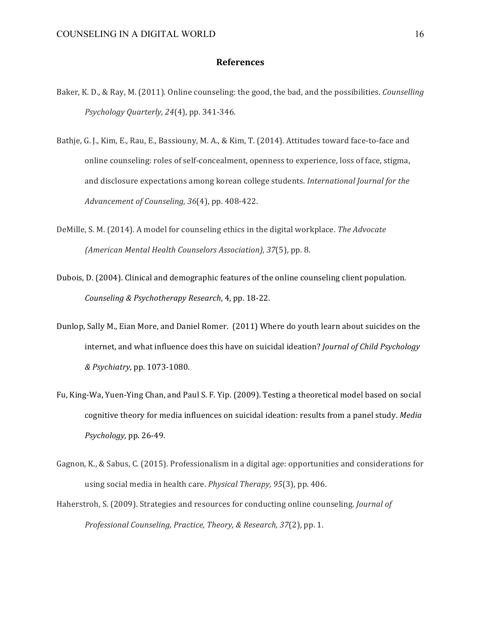#### **References**

- Baker, K. D., & Ray, M. (2011). Online counseling: the good, the bad, and the possibilities. *Counselling Psychology Quarterly, 24*(4), pp. 341-346.
- Bathje, G. J., Kim, E., Rau, E., Bassiouny, M. A., & Kim, T. (2014). Attitudes toward face-to-face and online counseling: roles of self-concealment, openness to experience, loss of face, stigma, and disclosure expectations among korean college students. *International Journal for the Advancement of Counseling, 36*(4), pp. 408-422.
- DeMille, S. M. (2014). A model for counseling ethics in the digital workplace. The Advocate *(American Mental Health Counselors Association), 37*(5), pp. 8.
- Dubois, D. (2004). Clinical and demographic features of the online counseling client population. *Counseling & Psychotherapy Research*, 4, pp. 18-22.
- Dunlop, Sally M., Eian More, and Daniel Romer. (2011) Where do youth learn about suicides on the internet, and what influence does this have on suicidal ideation? *Journal of Child Psychology & Psychiatry*, pp. 1073-1080.
- Fu, King-Wa, Yuen-Ying Chan, and Paul S. F. Yip. (2009). Testing a theoretical model based on social cognitive theory for media influences on suicidal ideation: results from a panel study. Media *Psychology*, pp. 26-49.
- Gagnon, K., & Sabus, C. (2015). Professionalism in a digital age: opportunities and considerations for using social media in health care. *Physical Therapy*, 95(3), pp. 406.
- Haherstroh, S. (2009). Strategies and resources for conducting online counseling. *Journal of Professional Counseling, Practice, Theory, & Research, 37*(2), pp. 1.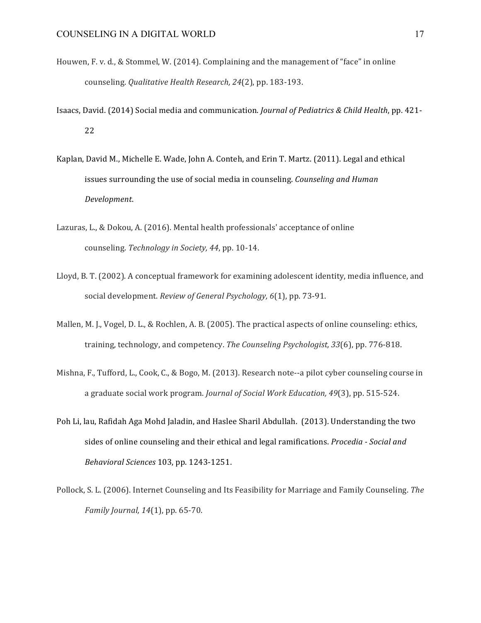- Houwen, F. v. d., & Stommel, W. (2014). Complaining and the management of "face" in online counseling. *Qualitative Health Research, 24*(2), pp. 183-193.
- Isaacs, David. (2014) Social media and communication. *Journal of Pediatrics & Child Health*, pp. 421- 22
- Kaplan, David M., Michelle E. Wade, John A. Conteh, and Erin T. Martz. (2011). Legal and ethical issues surrounding the use of social media in counseling. *Counseling and Human Development*.
- Lazuras, L., & Dokou, A. (2016). Mental health professionals' acceptance of online counseling. *Technology in Society, 44*, pp. 10-14.
- Lloyd, B. T. (2002). A conceptual framework for examining adolescent identity, media influence, and social development. *Review of General Psychology*, 6(1), pp. 73-91.
- Mallen, M. J., Vogel, D. L., & Rochlen, A. B. (2005). The practical aspects of online counseling: ethics, training, technology, and competency. *The Counseling Psychologist*, 33(6), pp. 776-818.
- Mishna, F., Tufford, L., Cook, C., & Bogo, M. (2013). Research note--a pilot cyber counseling course in a graduate social work program. *Journal of Social Work Education, 49*(3), pp. 515-524.
- Poh Li, lau, Rafidah Aga Mohd Jaladin, and Haslee Sharil Abdullah. (2013). Understanding the two sides of online counseling and their ethical and legal ramifications. *Procedia - Social and Behavioral Sciences* 103, pp. 1243-1251.
- Pollock, S. L. (2006). Internet Counseling and Its Feasibility for Marriage and Family Counseling. *The Family Journal, 14*(1), pp. 65-70.